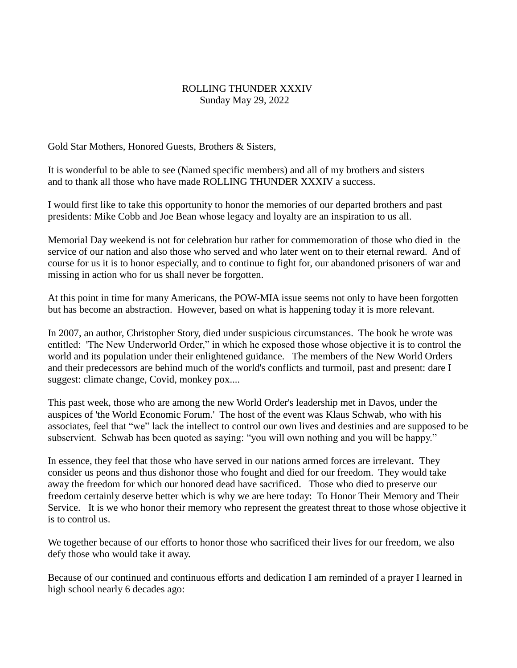## ROLLING THUNDER XXXIV Sunday May 29, 2022

Gold Star Mothers, Honored Guests, Brothers & Sisters,

It is wonderful to be able to see (Named specific members) and all of my brothers and sisters and to thank all those who have made ROLLING THUNDER XXXIV a success.

I would first like to take this opportunity to honor the memories of our departed brothers and past presidents: Mike Cobb and Joe Bean whose legacy and loyalty are an inspiration to us all.

Memorial Day weekend is not for celebration bur rather for commemoration of those who died in the service of our nation and also those who served and who later went on to their eternal reward. And of course for us it is to honor especially, and to continue to fight for, our abandoned prisoners of war and missing in action who for us shall never be forgotten.

At this point in time for many Americans, the POW-MIA issue seems not only to have been forgotten but has become an abstraction. However, based on what is happening today it is more relevant.

In 2007, an author, Christopher Story, died under suspicious circumstances. The book he wrote was entitled: 'The New Underworld Order," in which he exposed those whose objective it is to control the world and its population under their enlightened guidance. The members of the New World Orders and their predecessors are behind much of the world's conflicts and turmoil, past and present: dare I suggest: climate change, Covid, monkey pox....

This past week, those who are among the new World Order's leadership met in Davos, under the auspices of 'the World Economic Forum.' The host of the event was Klaus Schwab, who with his associates, feel that "we" lack the intellect to control our own lives and destinies and are supposed to be subservient. Schwab has been quoted as saying: "you will own nothing and you will be happy."

In essence, they feel that those who have served in our nations armed forces are irrelevant. They consider us peons and thus dishonor those who fought and died for our freedom. They would take away the freedom for which our honored dead have sacrificed. Those who died to preserve our freedom certainly deserve better which is why we are here today: To Honor Their Memory and Their Service. It is we who honor their memory who represent the greatest threat to those whose objective it is to control us.

We together because of our efforts to honor those who sacrificed their lives for our freedom, we also defy those who would take it away.

Because of our continued and continuous efforts and dedication I am reminded of a prayer I learned in high school nearly 6 decades ago: